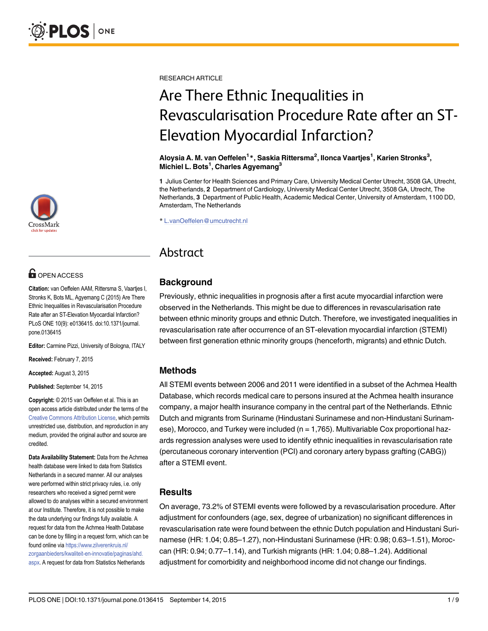[a11111](http://crossmark.crossref.org/dialog/?doi=10.1371/journal.pone.0136415&domain=pdf)

## **G** OPEN ACCESS

Citation: van Oeffelen AAM, Rittersma S, Vaartjes I, Stronks K, Bots ML, Agyemang C (2015) Are There Ethnic Inequalities in Revascularisation Procedure Rate after an ST-Elevation Myocardial Infarction? PLoS ONE 10(9): e0136415. doi:10.1371/journal. pone.0136415

Editor: Carmine Pizzi, University of Bologna, ITALY

Received: February 7, 2015

Accepted: August 3, 2015

Published: September 14, 2015

Copyright: © 2015 van Oeffelen et al. This is an open access article distributed under the terms of the [Creative Commons Attribution License,](http://creativecommons.org/licenses/by/4.0/) which permits unrestricted use, distribution, and reproduction in any medium, provided the original author and source are credited.

Data Availability Statement: Data from the Achmea health database were linked to data from Statistics Netherlands in a secured manner. All our analyses were performed within strict privacy rules, i.e. only researchers who received a signed permit were allowed to do analyses within a secured environment at our Institute. Therefore, it is not possible to make the data underlying our findings fully available. A request for data from the Achmea Health Database can be done by filling in a request form, which can be found online via [https://www.zilverenkruis.nl/](https://www.zilverenkruis.nl/zorgaanbieders/kwaliteit-en-innovatie/paginas/ahd.aspx) [zorgaanbieders/kwaliteit-en-innovatie/paginas/ahd.](https://www.zilverenkruis.nl/zorgaanbieders/kwaliteit-en-innovatie/paginas/ahd.aspx) [aspx.](https://www.zilverenkruis.nl/zorgaanbieders/kwaliteit-en-innovatie/paginas/ahd.aspx) A request for data from Statistics Netherlands

RESEARCH ARTICLE

# Are There Ethnic Inequalities in Revascularisation Procedure Rate after an ST-Elevation Myocardial Infarction?

Aloysia A. M. van Oeffelen<sup>1</sup>\*, Saskia Rittersma<sup>2</sup>, Ilonca Vaartjes<sup>1</sup>, Karien Stronks<sup>3</sup>, Michiel L. Bots<sup>1</sup>, Charles Agyemang<sup>3</sup>

1 Julius Center for Health Sciences and Primary Care, University Medical Center Utrecht, 3508 GA, Utrecht, the Netherlands, 2 Department of Cardiology, University Medical Center Utrecht, 3508 GA, Utrecht, The Netherlands, 3 Department of Public Health, Academic Medical Center, University of Amsterdam, 1100 DD, Amsterdam, The Netherlands

\* L.vanOeffelen@umcutrecht.nl

### Abstract

#### Background

Previously, ethnic inequalities in prognosis after a first acute myocardial infarction were observed in the Netherlands. This might be due to differences in revascularisation rate between ethnic minority groups and ethnic Dutch. Therefore, we investigated inequalities in revascularisation rate after occurrence of an ST-elevation myocardial infarction (STEMI) between first generation ethnic minority groups (henceforth, migrants) and ethnic Dutch.

#### Methods

All STEMI events between 2006 and 2011 were identified in a subset of the Achmea Health Database, which records medical care to persons insured at the Achmea health insurance company, a major health insurance company in the central part of the Netherlands. Ethnic Dutch and migrants from Suriname (Hindustani Surinamese and non-Hindustani Surinamese), Morocco, and Turkey were included ( $n = 1,765$ ). Multivariable Cox proportional hazards regression analyses were used to identify ethnic inequalities in revascularisation rate (percutaneous coronary intervention (PCI) and coronary artery bypass grafting (CABG)) after a STEMI event.

#### **Results**

On average, 73.2% of STEMI events were followed by a revascularisation procedure. After adjustment for confounders (age, sex, degree of urbanization) no significant differences in revascularisation rate were found between the ethnic Dutch population and Hindustani Surinamese (HR: 1.04; 0.85–1.27), non-Hindustani Surinamese (HR: 0.98; 0.63–1.51), Moroccan (HR: 0.94; 0.77–1.14), and Turkish migrants (HR: 1.04; 0.88–1.24). Additional adjustment for comorbidity and neighborhood income did not change our findings.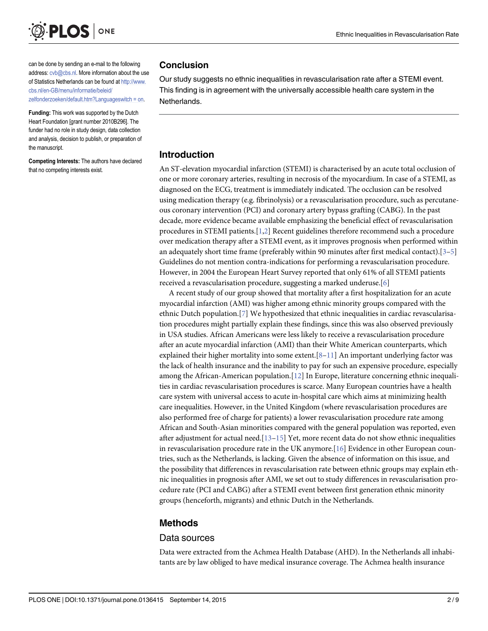<span id="page-1-0"></span>

can be done by sending an e-mail to the following address: cvb@cbs.nl. More information about the use of Statistics Netherlands can be found at [http://www.](http://www.cbs.nl/en-GB/menu/informatie/beleid/zelfonderzoeken/default.htm?Languageswitch�=�on) [cbs.nl/en-GB/menu/informatie/beleid/](http://www.cbs.nl/en-GB/menu/informatie/beleid/zelfonderzoeken/default.htm?Languageswitch�=�on) [zelfonderzoeken/default.htm?Languageswitch = on](http://www.cbs.nl/en-GB/menu/informatie/beleid/zelfonderzoeken/default.htm?Languageswitch�=�on).

Funding: This work was supported by the Dutch Heart Foundation [grant number 2010B296]. The funder had no role in study design, data collection and analysis, decision to publish, or preparation of the manuscript.

Competing Interests: The authors have declared that no competing interests exist.

#### Conclusion

Our study suggests no ethnic inequalities in revascularisation rate after a STEMI event. This finding is in agreement with the universally accessible health care system in the Netherlands.

#### Introduction

An ST-elevation myocardial infarction (STEMI) is characterised by an acute total occlusion of one or more coronary arteries, resulting in necrosis of the myocardium. In case of a STEMI, as diagnosed on the ECG, treatment is immediately indicated. The occlusion can be resolved using medication therapy (e.g. fibrinolysis) or a revascularisation procedure, such as percutaneous coronary intervention (PCI) and coronary artery bypass grafting (CABG). In the past decade, more evidence became available emphasizing the beneficial effect of revascularisation procedures in STEMI patients.[[1,2](#page-6-0)] Recent guidelines therefore recommend such a procedure over medication therapy after a STEMI event, as it improves prognosis when performed within an adequately short time frame (preferably within 90 minutes after first medical contact).[ $3-5$  $3-5$ ] Guidelines do not mention contra-indications for performing a revascularisation procedure. However, in 2004 the European Heart Survey reported that only 61% of all STEMI patients received a revascularisation procedure, suggesting a marked underuse.[[6\]](#page-7-0)

A recent study of our group showed that mortality after a first hospitalization for an acute myocardial infarction (AMI) was higher among ethnic minority groups compared with the ethnic Dutch population.[\[7](#page-7-0)] We hypothesized that ethnic inequalities in cardiac revascularisation procedures might partially explain these findings, since this was also observed previously in USA studies. African Americans were less likely to receive a revascularisation procedure after an acute myocardial infarction (AMI) than their White American counterparts, which explained their higher mortality into some extent.[[8](#page-7-0)–[11\]](#page-7-0) An important underlying factor was the lack of health insurance and the inability to pay for such an expensive procedure, especially among the African-American population.[[12](#page-7-0)] In Europe, literature concerning ethnic inequalities in cardiac revascularisation procedures is scarce. Many European countries have a health care system with universal access to acute in-hospital care which aims at minimizing health care inequalities. However, in the United Kingdom (where revascularisation procedures are also performed free of charge for patients) a lower revascularisation procedure rate among African and South-Asian minorities compared with the general population was reported, even after adjustment for actual need. $[13-15]$  $[13-15]$  $[13-15]$  $[13-15]$  Yet, more recent data do not show ethnic inequalities in revascularisation procedure rate in the UK anymore. [ $16$ ] Evidence in other European countries, such as the Netherlands, is lacking. Given the absence of information on this issue, and the possibility that differences in revascularisation rate between ethnic groups may explain ethnic inequalities in prognosis after AMI, we set out to study differences in revascularisation procedure rate (PCI and CABG) after a STEMI event between first generation ethnic minority groups (henceforth, migrants) and ethnic Dutch in the Netherlands.

#### Methods

#### Data sources

Data were extracted from the Achmea Health Database (AHD). In the Netherlands all inhabitants are by law obliged to have medical insurance coverage. The Achmea health insurance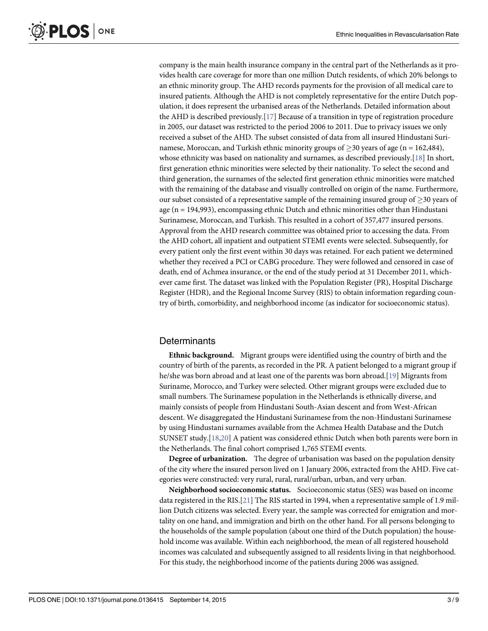<span id="page-2-0"></span>company is the main health insurance company in the central part of the Netherlands as it provides health care coverage for more than one million Dutch residents, of which 20% belongs to an ethnic minority group. The AHD records payments for the provision of all medical care to insured patients. Although the AHD is not completely representative for the entire Dutch population, it does represent the urbanised areas of the Netherlands. Detailed information about the AHD is described previously.[\[17\]](#page-7-0) Because of a transition in type of registration procedure in 2005, our dataset was restricted to the period 2006 to 2011. Due to privacy issues we only received a subset of the AHD. The subset consisted of data from all insured Hindustani Surinamese, Moroccan, and Turkish ethnic minority groups of  $\geq$  30 years of age (n = 162,484), whose ethnicity was based on nationality and surnames, as described previously.[[18](#page-7-0)] In short, first generation ethnic minorities were selected by their nationality. To select the second and third generation, the surnames of the selected first generation ethnic minorities were matched with the remaining of the database and visually controlled on origin of the name. Furthermore, our subset consisted of a representative sample of the remaining insured group of  $>$ 30 years of age  $(n = 194,993)$ , encompassing ethnic Dutch and ethnic minorities other than Hindustani Surinamese, Moroccan, and Turkish. This resulted in a cohort of 357,477 insured persons. Approval from the AHD research committee was obtained prior to accessing the data. From the AHD cohort, all inpatient and outpatient STEMI events were selected. Subsequently, for every patient only the first event within 30 days was retained. For each patient we determined whether they received a PCI or CABG procedure. They were followed and censored in case of death, end of Achmea insurance, or the end of the study period at 31 December 2011, whichever came first. The dataset was linked with the Population Register (PR), Hospital Discharge Register (HDR), and the Regional Income Survey (RIS) to obtain information regarding country of birth, comorbidity, and neighborhood income (as indicator for socioeconomic status).

#### **Determinants**

Ethnic background. Migrant groups were identified using the country of birth and the country of birth of the parents, as recorded in the PR. A patient belonged to a migrant group if he/she was born abroad and at least one of the parents was born abroad.[[19](#page-7-0)] Migrants from Suriname, Morocco, and Turkey were selected. Other migrant groups were excluded due to small numbers. The Surinamese population in the Netherlands is ethnically diverse, and mainly consists of people from Hindustani South-Asian descent and from West-African descent. We disaggregated the Hindustani Surinamese from the non-Hindustani Surinamese by using Hindustani surnames available from the Achmea Health Database and the Dutch SUNSET study.[\[18,20\]](#page-7-0) A patient was considered ethnic Dutch when both parents were born in the Netherlands. The final cohort comprised 1,765 STEMI events.

Degree of urbanization. The degree of urbanisation was based on the population density of the city where the insured person lived on 1 January 2006, extracted from the AHD. Five categories were constructed: very rural, rural, rural/urban, urban, and very urban.

Neighborhood socioeconomic status. Socioeconomic status (SES) was based on income data registered in the RIS. [[21](#page-7-0)] The RIS started in 1994, when a representative sample of 1.9 million Dutch citizens was selected. Every year, the sample was corrected for emigration and mortality on one hand, and immigration and birth on the other hand. For all persons belonging to the households of the sample population (about one third of the Dutch population) the household income was available. Within each neighborhood, the mean of all registered household incomes was calculated and subsequently assigned to all residents living in that neighborhood. For this study, the neighborhood income of the patients during 2006 was assigned.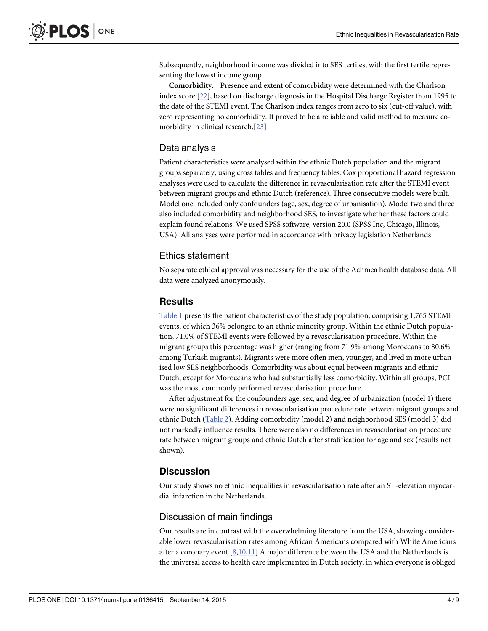<span id="page-3-0"></span>Subsequently, neighborhood income was divided into SES tertiles, with the first tertile representing the lowest income group.

Comorbidity. Presence and extent of comorbidity were determined with the Charlson index score [[22](#page-7-0)], based on discharge diagnosis in the Hospital Discharge Register from 1995 to the date of the STEMI event. The Charlson index ranges from zero to six (cut-off value), with zero representing no comorbidity. It proved to be a reliable and valid method to measure comorbidity in clinical research.[[23](#page-7-0)]

#### Data analysis

Patient characteristics were analysed within the ethnic Dutch population and the migrant groups separately, using cross tables and frequency tables. Cox proportional hazard regression analyses were used to calculate the difference in revascularisation rate after the STEMI event between migrant groups and ethnic Dutch (reference). Three consecutive models were built. Model one included only confounders (age, sex, degree of urbanisation). Model two and three also included comorbidity and neighborhood SES, to investigate whether these factors could explain found relations. We used SPSS software, version 20.0 (SPSS Inc, Chicago, Illinois, USA). All analyses were performed in accordance with privacy legislation Netherlands.

#### Ethics statement

No separate ethical approval was necessary for the use of the Achmea health database data. All data were analyzed anonymously.

#### **Results**

[Table 1](#page-4-0) presents the patient characteristics of the study population, comprising 1,765 STEMI events, of which 36% belonged to an ethnic minority group. Within the ethnic Dutch population, 71.0% of STEMI events were followed by a revascularisation procedure. Within the migrant groups this percentage was higher (ranging from 71.9% among Moroccans to 80.6% among Turkish migrants). Migrants were more often men, younger, and lived in more urbanised low SES neighborhoods. Comorbidity was about equal between migrants and ethnic Dutch, except for Moroccans who had substantially less comorbidity. Within all groups, PCI was the most commonly performed revascularisation procedure.

After adjustment for the confounders age, sex, and degree of urbanization (model 1) there were no significant differences in revascularisation procedure rate between migrant groups and ethnic Dutch ([Table 2\)](#page-4-0). Adding comorbidity (model 2) and neighborhood SES (model 3) did not markedly influence results. There were also no differences in revascularisation procedure rate between migrant groups and ethnic Dutch after stratification for age and sex (results not shown).

#### **Discussion**

Our study shows no ethnic inequalities in revascularisation rate after an ST-elevation myocardial infarction in the Netherlands.

#### Discussion of main findings

Our results are in contrast with the overwhelming literature from the USA, showing considerable lower revascularisation rates among African Americans compared with White Americans after a coronary event.  $[8,10,11]$  $[8,10,11]$  $[8,10,11]$  A major difference between the USA and the Netherlands is the universal access to health care implemented in Dutch society, in which everyone is obliged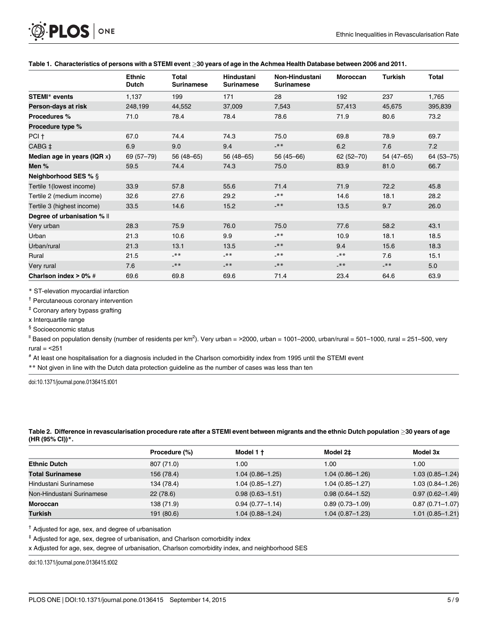<span id="page-4-0"></span>

|                             | <b>Ethnic</b> | <b>Total</b>      | Hindustani        | Non-Hindustani    | <b>Moroccan</b> | Turkish    | <b>Total</b> |
|-----------------------------|---------------|-------------------|-------------------|-------------------|-----------------|------------|--------------|
|                             | <b>Dutch</b>  | <b>Surinamese</b> | <b>Surinamese</b> | <b>Surinamese</b> |                 |            |              |
| STEMI* events               | 1,137         | 199               | 171               | 28                | 192             | 237        | 1,765        |
| Person-days at risk         | 248,199       | 44,552            | 37,009            | 7,543             | 57,413          | 45,675     | 395,839      |
| <b>Procedures %</b>         | 71.0          | 78.4              | 78.4              | 78.6              | 71.9            | 80.6       | 73.2         |
| Procedure type %            |               |                   |                   |                   |                 |            |              |
| PCI <sub>t</sub>            | 67.0          | 74.4              | 74.3              | 75.0              | 69.8            | 78.9       | 69.7         |
| CABG ‡                      | 6.9           | 9.0               | 9.4               | $***$             | 6.2             | 7.6        | 7.2          |
| Median age in years (IQR x) | 69 (57-79)    | 56 (48-65)        | 56 (48-65)        | 56 (45-66)        | 62 (52-70)      | 54 (47-65) | 64 (53-75)   |
| Men %                       | 59.5          | 74.4              | 74.3              | 75.0              | 83.9            | 81.0       | 66.7         |
| <b>Neighborhood SES % §</b> |               |                   |                   |                   |                 |            |              |
| Tertile 1(lowest income)    | 33.9          | 57.8              | 55.6              | 71.4              | 71.9            | 72.2       | 45.8         |
| Tertile 2 (medium income)   | 32.6          | 27.6              | 29.2              | $***$             | 14.6            | 18.1       | 28.2         |
| Tertile 3 (highest income)  | 33.5          | 14.6              | 15.2              | $***$             | 13.5            | 9.7        | 26.0         |
| Degree of urbanisation % II |               |                   |                   |                   |                 |            |              |
| Very urban                  | 28.3          | 75.9              | 76.0              | 75.0              | 77.6            | 58.2       | 43.1         |
| Urban                       | 21.3          | 10.6              | 9.9               | $***$             | 10.9            | 18.1       | 18.5         |
| Urban/rural                 | 21.3          | 13.1              | 13.5              | $***$             | 9.4             | 15.6       | 18.3         |
| Rural                       | 21.5          | $***$             | $***$             | $***$             | $***$           | 7.6        | 15.1         |
| Very rural                  | 7.6           | $***$             | $***$             | $***$             | $***$           | $***$      | 5.0          |
| Charlson index $> 0\%$ #    | 69.6          | 69.8              | 69.6              | 71.4              | 23.4            | 64.6       | 63.9         |

#### [Table 1.](#page-3-0) Characteristics of persons with a STEMI event  $\geq$ 30 years of age in the Achmea Health Database between 2006 and 2011.

\* ST-elevation myocardial infarction

† Percutaneous coronary intervention

‡ Coronary artery bypass grafting

x Interquartile range

§ Socioeconomic status

" Based on population density (number of residents per km<sup>2</sup>). Very urban = >2000, urban = 1001–2000, urban/rural = 501–1000, rural = 251–500, very rural  $=$  <251

# At least one hospitalisation for a diagnosis included in the Charlson comorbidity index from 1995 until the STEMI event

\*\* Not given in line with the Dutch data protection guideline as the number of cases was less than ten

doi:10.1371/journal.pone.0136415.t001

[Table 2.](#page-3-0) Difference in revascularisation procedure rate after a STEMI event between migrants and the ethnic Dutch population >30 years of age (HR (95% CI))\*.

|                           | Procedure (%) | Model 1 t           | Model 2‡            | Model 3x            |
|---------------------------|---------------|---------------------|---------------------|---------------------|
| <b>Ethnic Dutch</b>       | 807 (71.0)    | 1.00                | 1.00                | 1.00                |
| <b>Total Surinamese</b>   | 156 (78.4)    | $1.04(0.86 - 1.25)$ | $1.04(0.86 - 1.26)$ | $1.03(0.85 - 1.24)$ |
| Hindustani Surinamese     | 134 (78.4)    | $1.04(0.85 - 1.27)$ | $1.04(0.85 - 1.27)$ | $1.03(0.84 - 1.26)$ |
| Non-Hindustani Surinamese | 22(78.6)      | $0.98(0.63 - 1.51)$ | $0.98(0.64 - 1.52)$ | $0.97(0.62 - 1.49)$ |
| <b>Moroccan</b>           | 138 (71.9)    | $0.94(0.77 - 1.14)$ | $0.89(0.73 - 1.09)$ | $0.87(0.71 - 1.07)$ |
| <b>Turkish</b>            | 191 (80.6)    | $1.04(0.88 - 1.24)$ | $1.04(0.87 - 1.23)$ | $1.01(0.85 - 1.21)$ |

† Adjusted for age, sex, and degree of urbanisation

‡ Adjusted for age, sex, degree of urbanisation, and Charlson comorbidity index

x Adjusted for age, sex, degree of urbanisation, Charlson comorbidity index, and neighborhood SES

doi:10.1371/journal.pone.0136415.t002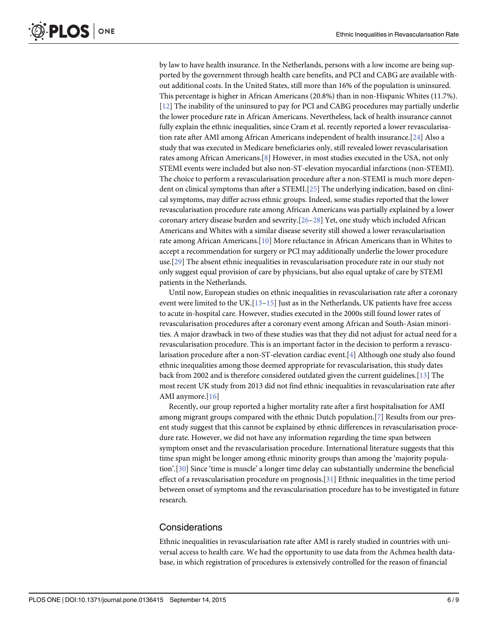<span id="page-5-0"></span>by law to have health insurance. In the Netherlands, persons with a low income are being supported by the government through health care benefits, and PCI and CABG are available without additional costs. In the United States, still more than 16% of the population is uninsured. This percentage is higher in African Americans (20.8%) than in non-Hispanic Whites (11.7%). [\[12](#page-7-0)] The inability of the uninsured to pay for PCI and CABG procedures may partially underlie the lower procedure rate in African Americans. Nevertheless, lack of health insurance cannot fully explain the ethnic inequalities, since Cram et al. recently reported a lower revascularisation rate after AMI among African Americans independent of health insurance.[\[24\]](#page-7-0) Also a study that was executed in Medicare beneficiaries only, still revealed lower revascularisation rates among African Americans.[[8\]](#page-7-0) However, in most studies executed in the USA, not only STEMI events were included but also non-ST-elevation myocardial infarctions (non-STEMI). The choice to perform a revascularisation procedure after a non-STEMI is much more dependent on clinical symptoms than after a STEMI.[\[25\]](#page-8-0) The underlying indication, based on clinical symptoms, may differ across ethnic groups. Indeed, some studies reported that the lower revascularisation procedure rate among African Americans was partially explained by a lower coronary artery disease burden and severity.[[26](#page-8-0)–[28](#page-8-0)] Yet, one study which included African Americans and Whites with a similar disease severity still showed a lower revascularisation rate among African Americans.[[10\]](#page-7-0) More reluctance in African Americans than in Whites to accept a recommendation for surgery or PCI may additionally underlie the lower procedure use.[[29](#page-8-0)] The absent ethnic inequalities in revascularisation procedure rate in our study not only suggest equal provision of care by physicians, but also equal uptake of care by STEMI patients in the Netherlands.

Until now, European studies on ethnic inequalities in revascularisation rate after a coronary event were limited to the UK. $[13-15]$  $[13-15]$  $[13-15]$  $[13-15]$  Just as in the Netherlands, UK patients have free access to acute in-hospital care. However, studies executed in the 2000s still found lower rates of revascularisation procedures after a coronary event among African and South-Asian minorities. A major drawback in two of these studies was that they did not adjust for actual need for a revascularisation procedure. This is an important factor in the decision to perform a revascularisation procedure after a non-ST-elevation cardiac event.[[4](#page-7-0)] Although one study also found ethnic inequalities among those deemed appropriate for revascularisation, this study dates back from 2002 and is therefore considered outdated given the current guidelines.[\[13\]](#page-7-0) The most recent UK study from 2013 did not find ethnic inequalities in revascularisation rate after AMI anymore.<sup>[\[16\]](#page-7-0)</sup>

Recently, our group reported a higher mortality rate after a first hospitalisation for AMI among migrant groups compared with the ethnic Dutch population.[\[7](#page-7-0)] Results from our present study suggest that this cannot be explained by ethnic differences in revascularisation procedure rate. However, we did not have any information regarding the time span between symptom onset and the revascularisation procedure. International literature suggests that this time span might be longer among ethnic minority groups than among the 'majority population'.[[30](#page-8-0)] Since 'time is muscle' a longer time delay can substantially undermine the beneficial effect of a revascularisation procedure on prognosis.[\[31\]](#page-8-0) Ethnic inequalities in the time period between onset of symptoms and the revascularisation procedure has to be investigated in future research.

#### **Considerations**

Ethnic inequalities in revascularisation rate after AMI is rarely studied in countries with universal access to health care. We had the opportunity to use data from the Achmea health database, in which registration of procedures is extensively controlled for the reason of financial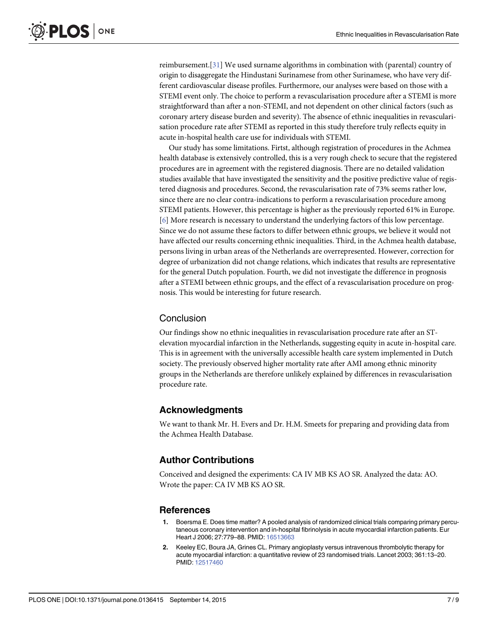<span id="page-6-0"></span>reimbursement.[[31](#page-8-0)] We used surname algorithms in combination with (parental) country of origin to disaggregate the Hindustani Surinamese from other Surinamese, who have very different cardiovascular disease profiles. Furthermore, our analyses were based on those with a STEMI event only. The choice to perform a revascularisation procedure after a STEMI is more straightforward than after a non-STEMI, and not dependent on other clinical factors (such as coronary artery disease burden and severity). The absence of ethnic inequalities in revascularisation procedure rate after STEMI as reported in this study therefore truly reflects equity in acute in-hospital health care use for individuals with STEMI.

Our study has some limitations. Firtst, although registration of procedures in the Achmea health database is extensively controlled, this is a very rough check to secure that the registered procedures are in agreement with the registered diagnosis. There are no detailed validation studies available that have investigated the sensitivity and the positive predictive value of registered diagnosis and procedures. Second, the revascularisation rate of 73% seems rather low, since there are no clear contra-indications to perform a revascularisation procedure among STEMI patients. However, this percentage is higher as the previously reported 61% in Europe. [\[6](#page-7-0)] More research is necessary to understand the underlying factors of this low percentage. Since we do not assume these factors to differ between ethnic groups, we believe it would not have affected our results concerning ethnic inequalities. Third, in the Achmea health database, persons living in urban areas of the Netherlands are overrepresented. However, correction for degree of urbanization did not change relations, which indicates that results are representative for the general Dutch population. Fourth, we did not investigate the difference in prognosis after a STEMI between ethnic groups, and the effect of a revascularisation procedure on prognosis. This would be interesting for future research.

#### Conclusion

Our findings show no ethnic inequalities in revascularisation procedure rate after an STelevation myocardial infarction in the Netherlands, suggesting equity in acute in-hospital care. This is in agreement with the universally accessible health care system implemented in Dutch society. The previously observed higher mortality rate after AMI among ethnic minority groups in the Netherlands are therefore unlikely explained by differences in revascularisation procedure rate.

#### Acknowledgments

We want to thank Mr. H. Evers and Dr. H.M. Smeets for preparing and providing data from the Achmea Health Database.

#### Author Contributions

Conceived and designed the experiments: CA IV MB KS AO SR. Analyzed the data: AO. Wrote the paper: CA IV MB KS AO SR.

#### **References**

- [1.](#page-1-0) Boersma E. Does time matter? A pooled analysis of randomized clinical trials comparing primary percutaneous coronary intervention and in-hospital fibrinolysis in acute myocardial infarction patients. Eur Heart J 2006; 27:779-88. PMID: [16513663](http://www.ncbi.nlm.nih.gov/pubmed/16513663)
- [2.](#page-1-0) Keeley EC, Boura JA, Grines CL. Primary angioplasty versus intravenous thrombolytic therapy for acute myocardial infarction: a quantitative review of 23 randomised trials. Lancet 2003; 361:13–20. PMID: [12517460](http://www.ncbi.nlm.nih.gov/pubmed/12517460)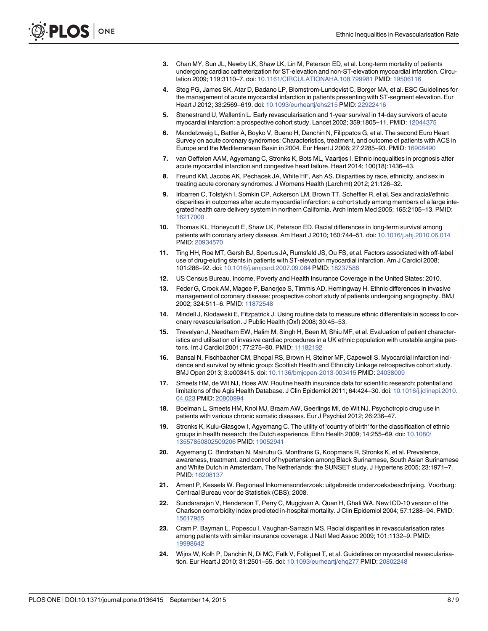- <span id="page-7-0"></span>[3.](#page-1-0) Chan MY, Sun JL, Newby LK, Shaw LK, Lin M, Peterson ED, et al. Long-term mortality of patients undergoing cardiac catheterization for ST-elevation and non-ST-elevation myocardial infarction. Circulation 2009; 119:3110–7. doi: [10.1161/CIRCULATIONAHA.108.799981](http://dx.doi.org/10.1161/CIRCULATIONAHA.108.799981) PMID: [19506116](http://www.ncbi.nlm.nih.gov/pubmed/19506116)
- [4.](#page-5-0) Steg PG, James SK, Atar D, Badano LP, Blomstrom-Lundqvist C, Borger MA, et al. ESC Guidelines for the management of acute myocardial infarction in patients presenting with ST-segment elevation. Eur Heart J 2012; 33:2569–619. doi: [10.1093/eurheartj/ehs215](http://dx.doi.org/10.1093/eurheartj/ehs215) PMID: [22922416](http://www.ncbi.nlm.nih.gov/pubmed/22922416)
- [5.](#page-1-0) Stenestrand U, Wallentin L. Early revascularisation and 1-year survival in 14-day survivors of acute myocardial infarction: a prospective cohort study. Lancet 2002; 359:1805–11. PMID: [12044375](http://www.ncbi.nlm.nih.gov/pubmed/12044375)
- [6.](#page-1-0) Mandelzweig L, Battler A, Boyko V, Bueno H, Danchin N, Filippatos G, et al. The second Euro Heart Survey on acute coronary syndromes: Characteristics, treatment, and outcome of patients with ACS in Europe and the Mediterranean Basin in 2004. Eur Heart J 2006; 27:2285–93. PMID: [16908490](http://www.ncbi.nlm.nih.gov/pubmed/16908490)
- [7.](#page-1-0) van Oeffelen AAM, Agyemang C, Stronks K, Bots ML, Vaartjes I. Ethnic inequalities in prognosis after acute myocardial infarction and congestive heart failure. Heart 2014; 100(18):1436–43.
- [8.](#page-1-0) Freund KM, Jacobs AK, Pechacek JA, White HF, Ash AS. Disparities by race, ethnicity, and sex in treating acute coronary syndromes. J Womens Health (Larchmt) 2012; 21:126–32.
- 9. Iribarren C, Tolstykh I, Somkin CP, Ackerson LM, Brown TT, Scheffler R, et al. Sex and racial/ethnic disparities in outcomes after acute myocardial infarction: a cohort study among members of a large integrated health care delivery system in northern California. Arch Intern Med 2005; 165:2105–13. PMID: [16217000](http://www.ncbi.nlm.nih.gov/pubmed/16217000)
- [10.](#page-3-0) Thomas KL, Honeycutt E, Shaw LK, Peterson ED. Racial differences in long-term survival among patients with coronary artery disease. Am Heart J 2010; 160:744–51. doi: [10.1016/j.ahj.2010.06.014](http://dx.doi.org/10.1016/j.ahj.2010.06.014) PMID: [20934570](http://www.ncbi.nlm.nih.gov/pubmed/20934570)
- [11.](#page-1-0) Ting HH, Roe MT, Gersh BJ, Spertus JA, Rumsfeld JS, Ou FS, et al. Factors associated with off-label use of drug-eluting stents in patients with ST-elevation myocardial infarction. Am J Cardiol 2008; 101:286–92. doi: [10.1016/j.amjcard.2007.09.084](http://dx.doi.org/10.1016/j.amjcard.2007.09.084) PMID: [18237586](http://www.ncbi.nlm.nih.gov/pubmed/18237586)
- [12.](#page-1-0) US Census Bureau. Income, Poverty and Health Insurance Coverage in the United States: 2010.
- [13.](#page-1-0) Feder G, Crook AM, Magee P, Banerjee S, Timmis AD, Hemingway H. Ethnic differences in invasive management of coronary disease: prospective cohort study of patients undergoing angiography. BMJ 2002; 324:511–6. PMID: [11872548](http://www.ncbi.nlm.nih.gov/pubmed/11872548)
- 14. Mindell J, Klodawski E, Fitzpatrick J. Using routine data to measure ethnic differentials in access to coronary revascularisation. J Public Health (Oxf) 2008; 30:45–53.
- [15.](#page-1-0) Trevelyan J, Needham EW, Halim M, Singh H, Been M, Shiu MF, et al. Evaluation of patient characteristics and utilisation of invasive cardiac procedures in a UK ethnic population with unstable angina pectoris. Int J Cardiol 2001; 77:275–80. PMID: [11182192](http://www.ncbi.nlm.nih.gov/pubmed/11182192)
- [16.](#page-1-0) Bansal N, Fischbacher CM, Bhopal RS, Brown H, Steiner MF, Capewell S. Myocardial infarction incidence and survival by ethnic group: Scottish Health and Ethnicity Linkage retrospective cohort study. BMJ Open 2013; 3:e003415. doi: [10.1136/bmjopen-2013-003415](http://dx.doi.org/10.1136/bmjopen-2013-003415) PMID: [24038009](http://www.ncbi.nlm.nih.gov/pubmed/24038009)
- [17.](#page-2-0) Smeets HM, de Wit NJ, Hoes AW. Routine health insurance data for scientific research: potential and limitations of the Agis Health Database. J Clin Epidemiol 2011; 64:424-30. doi: [10.1016/j.jclinepi.2010.](http://dx.doi.org/10.1016/j.jclinepi.2010.04.023) [04.023](http://dx.doi.org/10.1016/j.jclinepi.2010.04.023) PMID: [20800994](http://www.ncbi.nlm.nih.gov/pubmed/20800994)
- [18.](#page-2-0) Boelman L, Smeets HM, Knol MJ, Braam AW, Geerlings MI, de Wit NJ. Psychotropic drug use in patients with various chronic somatic diseases. Eur J Psychiat 2012; 26:236–47.
- [19.](#page-2-0) Stronks K, Kulu-Glasgow I, Agyemang C. The utility of 'country of birth' for the classification of ethnic groups in health research: the Dutch experience. Ethn Health 2009; 14:255-69. doi: [10.1080/](http://dx.doi.org/10.1080/13557850802509206) [13557850802509206](http://dx.doi.org/10.1080/13557850802509206) PMID: [19052941](http://www.ncbi.nlm.nih.gov/pubmed/19052941)
- [20.](#page-2-0) Agyemang C, Bindraban N, Mairuhu G, Montfrans G, Koopmans R, Stronks K, et al. Prevalence, awareness, treatment, and control of hypertension among Black Surinamese, South Asian Surinamese and White Dutch in Amsterdam, The Netherlands: the SUNSET study. J Hypertens 2005; 23:1971–7. PMID: [16208137](http://www.ncbi.nlm.nih.gov/pubmed/16208137)
- [21.](#page-2-0) Ament P, Kessels W. Regionaal Inkomensonderzoek: uitgebreide onderzoeksbeschrijving. Voorburg: Centraal Bureau voor de Statistiek (CBS); 2008.
- [22.](#page-3-0) Sundararajan V, Henderson T, Perry C, Muggivan A, Quan H, Ghali WA. New ICD-10 version of the Charlson comorbidity index predicted in-hospital mortality. J Clin Epidemiol 2004; 57:1288–94. PMID: [15617955](http://www.ncbi.nlm.nih.gov/pubmed/15617955)
- [23.](#page-3-0) Cram P, Bayman L, Popescu I, Vaughan-Sarrazin MS. Racial disparities in revascularisation rates among patients with similar insurance coverage. J Natl Med Assoc 2009; 101:1132–9. PMID: [19998642](http://www.ncbi.nlm.nih.gov/pubmed/19998642)
- [24.](#page-5-0) Wijns W, Kolh P, Danchin N, Di MC, Falk V, Folliguet T, et al. Guidelines on myocardial revascularisation. Eur Heart J 2010; 31:2501–55. doi: [10.1093/eurheartj/ehq277](http://dx.doi.org/10.1093/eurheartj/ehq277) PMID: [20802248](http://www.ncbi.nlm.nih.gov/pubmed/20802248)